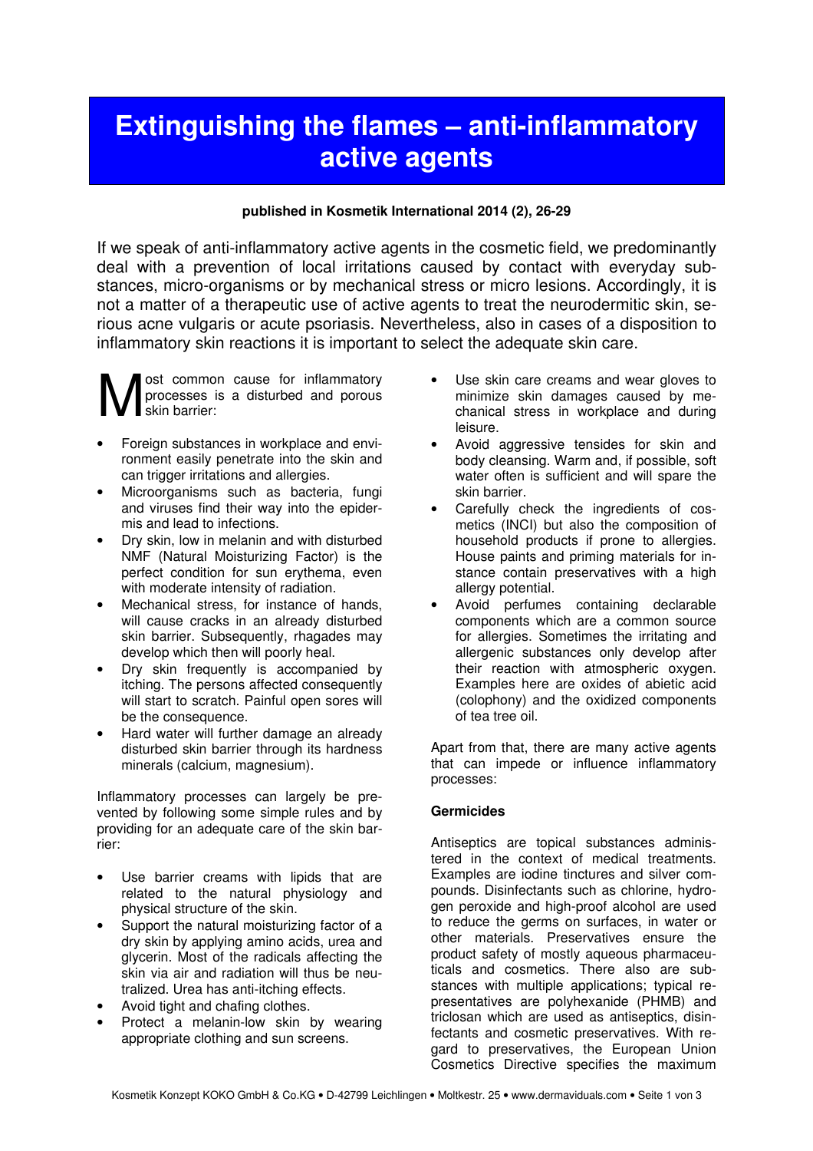# Extinguishing the flames – anti-inflammatory active agents

#### published in Kosmetik International 2014 (2), 26-29

If we speak of anti-inflammatory active agents in the cosmetic field, we predominantly deal with a prevention of local irritations caused by contact with everyday substances, micro-organisms or by mechanical stress or micro lesions. Accordingly, it is not a matter of a therapeutic use of active agents to treat the neurodermitic skin, serious acne vulgaris or acute psoriasis. Nevertheless, also in cases of a disposition to inflammatory skin reactions it is important to select the adequate skin care.

ost common cause for inflammatory processes is a disturbed and porous skin barrier: M

- Foreign substances in workplace and environment easily penetrate into the skin and can trigger irritations and allergies.
- Microorganisms such as bacteria, fungi and viruses find their way into the epidermis and lead to infections.
- Dry skin, low in melanin and with disturbed NMF (Natural Moisturizing Factor) is the perfect condition for sun erythema, even with moderate intensity of radiation.
- Mechanical stress, for instance of hands, will cause cracks in an already disturbed skin barrier. Subsequently, rhagades may develop which then will poorly heal.
- Dry skin frequently is accompanied by itching. The persons affected consequently will start to scratch. Painful open sores will be the consequence.
- Hard water will further damage an already disturbed skin barrier through its hardness minerals (calcium, magnesium).

Inflammatory processes can largely be prevented by following some simple rules and by providing for an adequate care of the skin barrier:

- Use barrier creams with lipids that are related to the natural physiology and physical structure of the skin.
- Support the natural moisturizing factor of a dry skin by applying amino acids, urea and glycerin. Most of the radicals affecting the skin via air and radiation will thus be neutralized. Urea has anti-itching effects.
- Avoid tight and chafing clothes.
- Protect a melanin-low skin by wearing appropriate clothing and sun screens.
- Use skin care creams and wear gloves to minimize skin damages caused by mechanical stress in workplace and during leisure.
- Avoid aggressive tensides for skin and body cleansing. Warm and, if possible, soft water often is sufficient and will spare the skin barrier.
- Carefully check the ingredients of cosmetics (INCI) but also the composition of household products if prone to allergies. House paints and priming materials for instance contain preservatives with a high allergy potential.
- Avoid perfumes containing declarable components which are a common source for allergies. Sometimes the irritating and allergenic substances only develop after their reaction with atmospheric oxygen. Examples here are oxides of abietic acid (colophony) and the oxidized components of tea tree oil.

Apart from that, there are many active agents that can impede or influence inflammatory processes:

## Germicides

Antiseptics are topical substances administered in the context of medical treatments. Examples are iodine tinctures and silver compounds. Disinfectants such as chlorine, hydrogen peroxide and high-proof alcohol are used to reduce the germs on surfaces, in water or other materials. Preservatives ensure the product safety of mostly aqueous pharmaceuticals and cosmetics. There also are substances with multiple applications; typical representatives are polyhexanide (PHMB) and triclosan which are used as antiseptics, disinfectants and cosmetic preservatives. With regard to preservatives, the European Union Cosmetics Directive specifies the maximum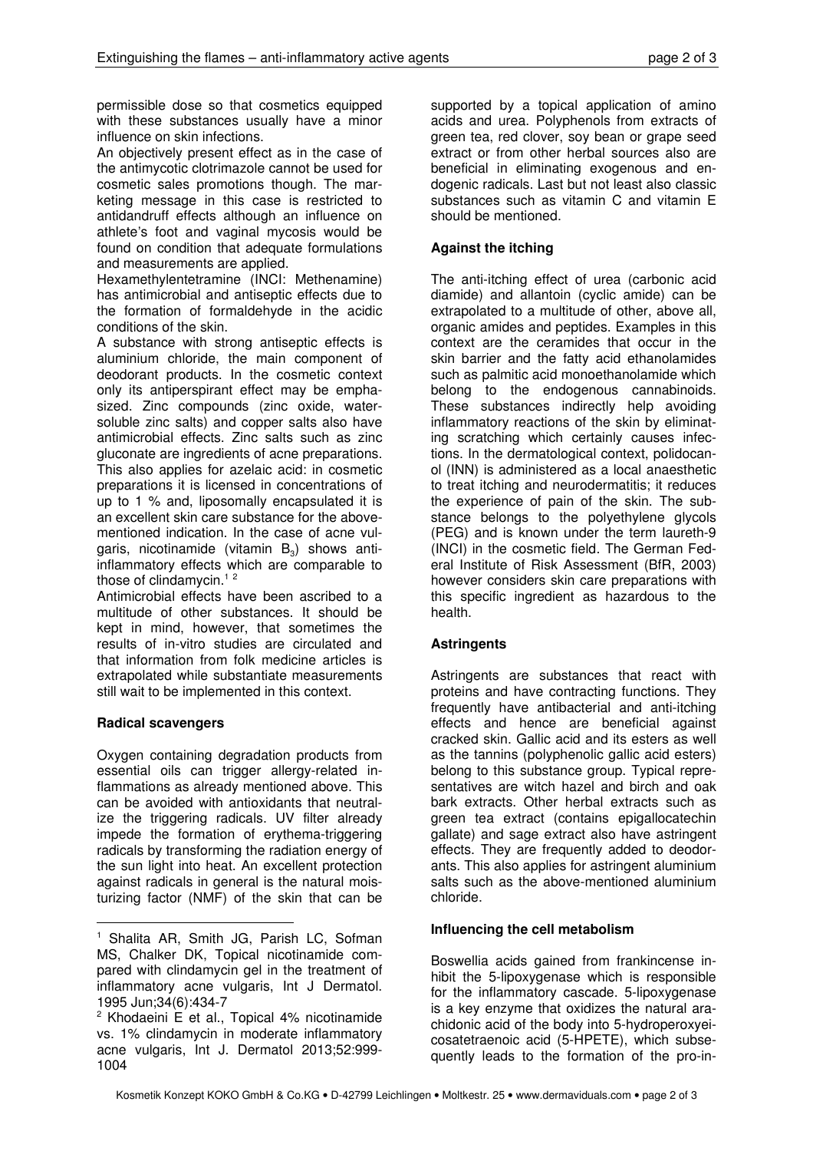permissible dose so that cosmetics equipped with these substances usually have a minor influence on skin infections.

An objectively present effect as in the case of the antimycotic clotrimazole cannot be used for cosmetic sales promotions though. The marketing message in this case is restricted to antidandruff effects although an influence on athlete's foot and vaginal mycosis would be found on condition that adequate formulations and measurements are applied.

Hexamethylentetramine (INCI: Methenamine) has antimicrobial and antiseptic effects due to the formation of formaldehyde in the acidic conditions of the skin.

A substance with strong antiseptic effects is aluminium chloride, the main component of deodorant products. In the cosmetic context only its antiperspirant effect may be emphasized. Zinc compounds (zinc oxide, watersoluble zinc salts) and copper salts also have antimicrobial effects. Zinc salts such as zinc gluconate are ingredients of acne preparations. This also applies for azelaic acid: in cosmetic preparations it is licensed in concentrations of up to 1 % and, liposomally encapsulated it is an excellent skin care substance for the abovementioned indication. In the case of acne vulgaris, nicotinamide (vitamin  $\mathsf{B}_{3}$ ) shows antiinflammatory effects which are comparable to those of clindamycin. $12$ 

Antimicrobial effects have been ascribed to a multitude of other substances. It should be kept in mind, however, that sometimes the results of in-vitro studies are circulated and that information from folk medicine articles is extrapolated while substantiate measurements still wait to be implemented in this context.

## Radical scavengers

 $\overline{a}$ 

Oxygen containing degradation products from essential oils can trigger allergy-related inflammations as already mentioned above. This can be avoided with antioxidants that neutralize the triggering radicals. UV filter already impede the formation of erythema-triggering radicals by transforming the radiation energy of the sun light into heat. An excellent protection against radicals in general is the natural moisturizing factor (NMF) of the skin that can be

supported by a topical application of amino acids and urea. Polyphenols from extracts of green tea, red clover, soy bean or grape seed extract or from other herbal sources also are beneficial in eliminating exogenous and endogenic radicals. Last but not least also classic substances such as vitamin C and vitamin E should be mentioned.

# Against the itching

The anti-itching effect of urea (carbonic acid diamide) and allantoin (cyclic amide) can be extrapolated to a multitude of other, above all, organic amides and peptides. Examples in this context are the ceramides that occur in the skin barrier and the fatty acid ethanolamides such as palmitic acid monoethanolamide which belong to the endogenous cannabinoids. These substances indirectly help avoiding inflammatory reactions of the skin by eliminating scratching which certainly causes infections. In the dermatological context, polidocanol (INN) is administered as a local anaesthetic to treat itching and neurodermatitis; it reduces the experience of pain of the skin. The substance belongs to the polyethylene glycols (PEG) and is known under the term laureth-9 (INCI) in the cosmetic field. The German Federal Institute of Risk Assessment (BfR, 2003) however considers skin care preparations with this specific ingredient as hazardous to the health.

# **Astringents**

Astringents are substances that react with proteins and have contracting functions. They frequently have antibacterial and anti-itching effects and hence are beneficial against cracked skin. Gallic acid and its esters as well as the tannins (polyphenolic gallic acid esters) belong to this substance group. Typical representatives are witch hazel and birch and oak bark extracts. Other herbal extracts such as green tea extract (contains epigallocatechin gallate) and sage extract also have astringent effects. They are frequently added to deodorants. This also applies for astringent aluminium salts such as the above-mentioned aluminium chloride.

## Influencing the cell metabolism

Boswellia acids gained from frankincense inhibit the 5-lipoxygenase which is responsible for the inflammatory cascade. 5-lipoxygenase is a key enzyme that oxidizes the natural arachidonic acid of the body into 5-hydroperoxyeicosatetraenoic acid (5-HPETE), which subsequently leads to the formation of the pro-in-

<sup>1</sup> Shalita AR, Smith JG, Parish LC, Sofman MS, Chalker DK, Topical nicotinamide compared with clindamycin gel in the treatment of inflammatory acne vulgaris, Int J Dermatol. 1995 Jun;34(6):434-7

<sup>&</sup>lt;sup>2</sup> Khodaeini E et al., Topical 4% nicotinamide vs. 1% clindamycin in moderate inflammatory acne vulgaris, Int J. Dermatol 2013;52:999- 1004